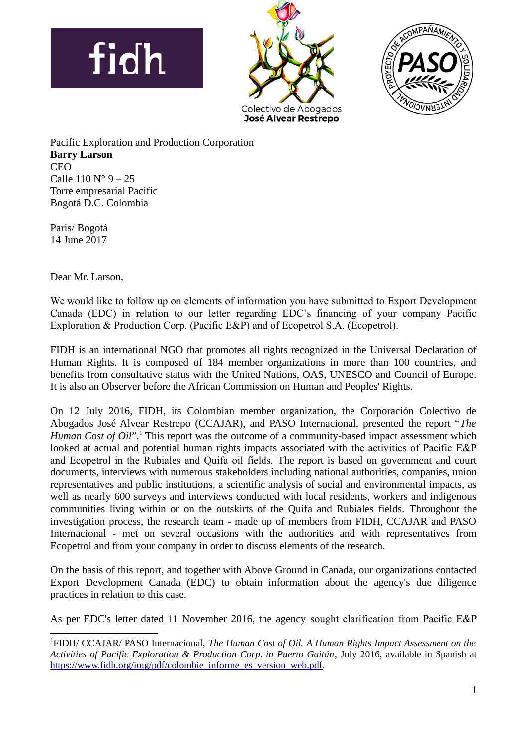





Pacific Exploration and Production Corporation **Barry Larson** CEO Calle  $110 N^{\circ} 9 - 25$ Torre empresarial Pacific Bogotá D.C. Colombia

Paris/ Bogotá 14 June 2017

Dear Mr. Larson,

We would like to follow up on elements of information you have submitted to Export Development Canada (EDC) in relation to our letter regarding EDC's financing of your company Pacific Exploration & Production Corp. (Pacific E&P) and of Ecopetrol S.A. (Ecopetrol).

FIDH is an international NGO that promotes all rights recognized in the Universal Declaration of Human Rights. It is composed of 184 member organizations in more than 100 countries, and benefits from consultative status with the United Nations, OAS, UNESCO and Council of Europe. It is also an Observer before the African Commission on Human and Peoples' Rights.

On 12 July 2016, FIDH, its Colombian member organization, the Corporación Colectivo de Abogados José Alvear Restrepo (CCAJAR), and PASO Internacional, presented the report "*The* Human Cost of Oil".<sup>[1](#page-0-0)</sup> This report was the outcome of a community-based impact assessment which looked at actual and potential human rights impacts associated with the activities of Pacific E&P and Ecopetrol in the Rubiales and Quifa oil fields. The report is based on government and court documents, interviews with numerous stakeholders including national authorities, companies, union representatives and public institutions, a scientific analysis of social and environmental impacts, as well as nearly 600 surveys and interviews conducted with local residents, workers and indigenous communities living within or on the outskirts of the Quifa and Rubiales fields. Throughout the investigation process, the research team - made up of members from FIDH, CCAJAR and PASO Internacional - met on several occasions with the authorities and with representatives from Ecopetrol and from your company in order to discuss elements of the research.

On the basis of this report, and together with Above Ground in Canada, our organizations contacted Export Development Canada (EDC) to obtain information about the agency's due diligence practices in relation to this case.

As per EDC's letter dated 11 November 2016, the agency sought clarification from Pacific E&P

<span id="page-0-0"></span><sup>1</sup> FIDH/ CCAJAR/ PASO Internacional, *The Human Cost of Oil. A Human Rights Impact Assessment on the Activities of Pacific Exploration & Production Corp. in Puerto Gaitán*, July 2016, available in Spanish at [https://www.fidh.org/img/pdf/colombie\\_informe\\_es\\_version\\_web.pdf.](https://www.fidh.org/img/pdf/colombie_informe_es_version_web.pdf)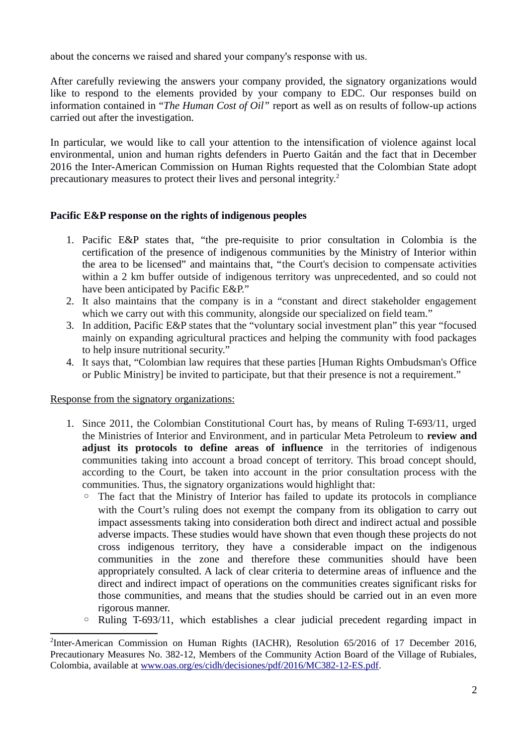about the concerns we raised and shared your company's response with us.

After carefully reviewing the answers your company provided, the signatory organizations would like to respond to the elements provided by your company to EDC. Our responses build on information contained in "*The Human Cost of Oil"* report as well as on results of follow-up actions carried out after the investigation.

In particular, we would like to call your attention to the intensification of violence against local environmental, union and human rights defenders in Puerto Gaitán and the fact that in December 2016 the Inter-American Commission on Human Rights requested that the Colombian State adopt precautionary measures to protect their lives and personal integrity.[2](#page-1-0)

# **Pacific E&P response on the rights of indigenous peoples**

- 1. Pacific E&P states that, "the pre-requisite to prior consultation in Colombia is the certification of the presence of indigenous communities by the Ministry of Interior within the area to be licensed" and maintains that, "the Court's decision to compensate activities within a 2 km buffer outside of indigenous territory was unprecedented, and so could not have been anticipated by Pacific E&P."
- 2. It also maintains that the company is in a "constant and direct stakeholder engagement which we carry out with this community, alongside our specialized on field team."
- 3. In addition, Pacific E&P states that the "voluntary social investment plan" this year "focused mainly on expanding agricultural practices and helping the community with food packages to help insure nutritional security."
- 4. It says that, "Colombian law requires that these parties [Human Rights Ombudsman's Office or Public Ministry] be invited to participate, but that their presence is not a requirement."

# Response from the signatory organizations:

- 1. Since 2011, the Colombian Constitutional Court has, by means of Ruling T-693/11, urged the Ministries of Interior and Environment, and in particular Meta Petroleum to **review and adjust its protocols to define areas of influence** in the territories of indigenous communities taking into account a broad concept of territory. This broad concept should, according to the Court, be taken into account in the prior consultation process with the communities. Thus, the signatory organizations would highlight that:
	- The fact that the Ministry of Interior has failed to update its protocols in compliance with the Court's ruling does not exempt the company from its obligation to carry out impact assessments taking into consideration both direct and indirect actual and possible adverse impacts. These studies would have shown that even though these projects do not cross indigenous territory, they have a considerable impact on the indigenous communities in the zone and therefore these communities should have been appropriately consulted. A lack of clear criteria to determine areas of influence and the direct and indirect impact of operations on the communities creates significant risks for those communities, and means that the studies should be carried out in an even more rigorous manner.
	- Ruling T-693/11, which establishes a clear judicial precedent regarding impact in

<span id="page-1-0"></span> $^{2}$ Inter-American Commission on Human Rights (IACHR), Resolution 65/2016 of 17 December 2016, Precautionary Measures No. 382-12, Members of the Community Action Board of the Village of Rubiales, Colombia, available at [www.oas.org/es/cidh/decisiones/pdf/2016/MC382-12-ES.pdf.](http://www.oas.org/es/cidh/decisiones/pdf/2016/MC382-12-ES.pdf)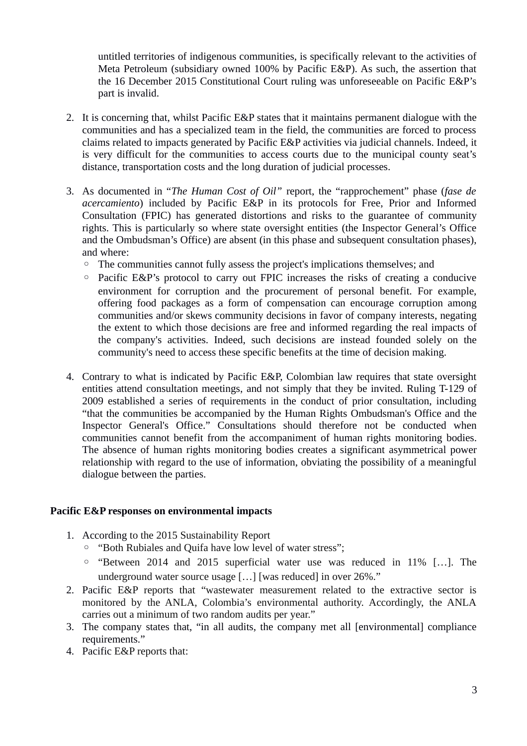untitled territories of indigenous communities, is specifically relevant to the activities of Meta Petroleum (subsidiary owned 100% by Pacific E&P). As such, the assertion that the 16 December 2015 Constitutional Court ruling was unforeseeable on Pacific E&P's part is invalid.

- 2. It is concerning that, whilst Pacific E&P states that it maintains permanent dialogue with the communities and has a specialized team in the field, the communities are forced to process claims related to impacts generated by Pacific E&P activities via judicial channels. Indeed, it is very difficult for the communities to access courts due to the municipal county seat's distance, transportation costs and the long duration of judicial processes.
- 3. As documented in "*The Human Cost of Oil"* report, the "rapprochement" phase (*fase de acercamiento*) included by Pacific E&P in its protocols for Free, Prior and Informed Consultation (FPIC) has generated distortions and risks to the guarantee of community rights. This is particularly so where state oversight entities (the Inspector General's Office and the Ombudsman's Office) are absent (in this phase and subsequent consultation phases), and where:
	- The communities cannot fully assess the project's implications themselves; and
	- Pacific E&P's protocol to carry out FPIC increases the risks of creating a conducive environment for corruption and the procurement of personal benefit. For example, offering food packages as a form of compensation can encourage corruption among communities and/or skews community decisions in favor of company interests, negating the extent to which those decisions are free and informed regarding the real impacts of the company's activities. Indeed, such decisions are instead founded solely on the community's need to access these specific benefits at the time of decision making.
- 4. Contrary to what is indicated by Pacific E&P, Colombian law requires that state oversight entities attend consultation meetings, and not simply that they be invited. Ruling T-129 of 2009 established a series of requirements in the conduct of prior consultation, including "that the communities be accompanied by the Human Rights Ombudsman's Office and the Inspector General's Office." Consultations should therefore not be conducted when communities cannot benefit from the accompaniment of human rights monitoring bodies. The absence of human rights monitoring bodies creates a significant asymmetrical power relationship with regard to the use of information, obviating the possibility of a meaningful dialogue between the parties.

#### **Pacific E&P responses on environmental impacts**

- 1. According to the 2015 Sustainability Report
	- "Both Rubiales and Quifa have low level of water stress";
	- "Between 2014 and 2015 superficial water use was reduced in 11% […]. The underground water source usage […] [was reduced] in over 26%."
- 2. Pacific E&P reports that "wastewater measurement related to the extractive sector is monitored by the ANLA, Colombia's environmental authority. Accordingly, the ANLA carries out a minimum of two random audits per year."
- 3. The company states that, "in all audits, the company met all [environmental] compliance requirements."
- 4. Pacific E&P reports that: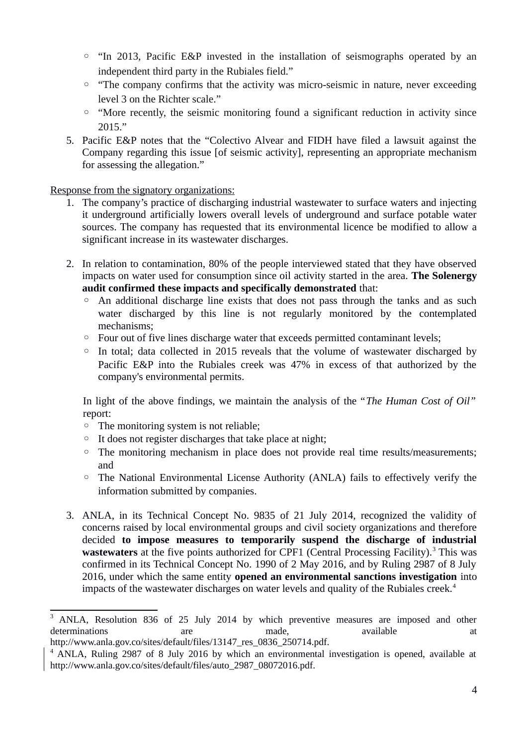- "In 2013, Pacific E&P invested in the installation of seismographs operated by an independent third party in the Rubiales field."
- "The company confirms that the activity was micro-seismic in nature, never exceeding level 3 on the Richter scale."
- "More recently, the seismic monitoring found a significant reduction in activity since 2015."
- 5. Pacific E&P notes that the "Colectivo Alvear and FIDH have filed a lawsuit against the Company regarding this issue [of seismic activity], representing an appropriate mechanism for assessing the allegation."

Response from the signatory organizations:

- 1. The company's practice of discharging industrial wastewater to surface waters and injecting it underground artificially lowers overall levels of underground and surface potable water sources. The company has requested that its environmental licence be modified to allow a significant increase in its wastewater discharges.
- 2. In relation to contamination, 80% of the people interviewed stated that they have observed impacts on water used for consumption since oil activity started in the area. **The Solenergy audit confirmed these impacts and specifically demonstrated** that:
	- An additional discharge line exists that does not pass through the tanks and as such water discharged by this line is not regularly monitored by the contemplated mechanisms;
	- Four out of five lines discharge water that exceeds permitted contaminant levels;
	- In total; data collected in 2015 reveals that the volume of wastewater discharged by Pacific E&P into the Rubiales creek was 47% in excess of that authorized by the company's environmental permits.

In light of the above findings, we maintain the analysis of the "*The Human Cost of Oil"* report:

- The monitoring system is not reliable;
- It does not register discharges that take place at night;
- The monitoring mechanism in place does not provide real time results/measurements; and
- The National Environmental License Authority (ANLA) fails to effectively verify the information submitted by companies.
- 3. ANLA, in its Technical Concept No. 9835 of 21 July 2014, recognized the validity of concerns raised by local environmental groups and civil society organizations and therefore decided **to impose measures to temporarily suspend the discharge of industrial** wastewaters at the five points authorized for CPF1 (Central Processing Facility).<sup>[3](#page-3-0)</sup> This was confirmed in its Technical Concept No. 1990 of 2 May 2016, and by Ruling 2987 of 8 July 2016, under which the same entity **opened an environmental sanctions investigation** into impacts of the wastewater discharges on water levels and quality of the Rubiales creek.<sup>[4](#page-3-1)</sup>

<span id="page-3-0"></span><sup>&</sup>lt;sup>3</sup> ANLA, Resolution 836 of 25 July 2014 by which preventive measures are imposed and other determinations are are made, available available at the determinations at a http://www.anla.gov.co/sites/default/files/13147 res\_0836\_250714.pdf.

<span id="page-3-1"></span><sup>&</sup>lt;sup>4</sup> ANLA, Ruling 2987 of 8 July 2016 by which an environmental investigation is opened, available at http://www.anla.gov.co/sites/default/files/auto\_2987\_08072016.pdf.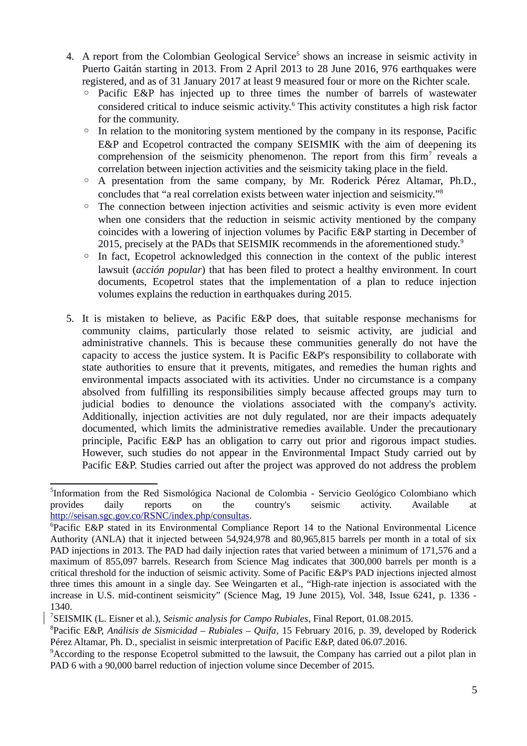- 4. A report from the Colombian Geological Service<sup>[5](#page-4-0)</sup> shows an increase in seismic activity in Puerto Gaitán starting in 2013. From 2 April 2013 to 28 June 2016, 976 earthquakes were registered, and as of 31 January 2017 at least 9 measured four or more on the Richter scale.
	- Pacific E&P has injected up to three times the number of barrels of wastewater considered critical to induce seismic activity.<sup>[6](#page-4-1)</sup> This activity constitutes a high risk factor for the community.
	- In relation to the monitoring system mentioned by the company in its response, Pacific E&P and Ecopetrol contracted the company SEISMIK with the aim of deepening its comprehension of the seismicity phenomenon. The report from this firm<sup>[7](#page-4-2)</sup> reveals a correlation between injection activities and the seismicity taking place in the field.
	- A presentation from the same company, by Mr. Roderick Pérez Altamar, Ph.D., concludes that "a real correlation exists between water injection and seismicity."[8](#page-4-3)
	- The connection between injection activities and seismic activity is even more evident when one considers that the reduction in seismic activity mentioned by the company coincides with a lowering of injection volumes by Pacific E&P starting in December of 2015, precisely at the PADs that SEISMIK recommends in the aforementioned study.<sup>[9](#page-4-4)</sup>
	- In fact, Ecopetrol acknowledged this connection in the context of the public interest lawsuit (*acción popular*) that has been filed to protect a healthy environment. In court documents, Ecopetrol states that the implementation of a plan to reduce injection volumes explains the reduction in earthquakes during 2015.
- 5. It is mistaken to believe, as Pacific E&P does, that suitable response mechanisms for community claims, particularly those related to seismic activity, are judicial and administrative channels. This is because these communities generally do not have the capacity to access the justice system. It is Pacific E&P's responsibility to collaborate with state authorities to ensure that it prevents, mitigates, and remedies the human rights and environmental impacts associated with its activities. Under no circumstance is a company absolved from fulfilling its responsibilities simply because affected groups may turn to judicial bodies to denounce the violations associated with the company's activity. Additionally, injection activities are not duly regulated, nor are their impacts adequately documented, which limits the administrative remedies available. Under the precautionary principle, Pacific E&P has an obligation to carry out prior and rigorous impact studies. However, such studies do not appear in the Environmental Impact Study carried out by Pacific E&P. Studies carried out after the project was approved do not address the problem

<span id="page-4-0"></span><sup>&</sup>lt;sup>5</sup>Information from the Red Sismológica Nacional de Colombia - Servicio Geológico Colombiano which provides daily reports on the country's seismic activity. Available at [http://seisan.sgc.gov.co/RSNC/index.php/consultas.](http://seisan.sgc.gov.co/RSNC/index.php/consultas)

<span id="page-4-1"></span><sup>&</sup>lt;sup>6</sup>Pacific E&P stated in its Environmental Compliance Report 14 to the National Environmental Licence Authority (ANLA) that it injected between 54,924,978 and 80,965,815 barrels per month in a total of six PAD injections in 2013. The PAD had daily injection rates that varied between a minimum of 171,576 and a maximum of 855,097 barrels. Research from Science Mag indicates that 300,000 barrels per month is a critical threshold for the induction of seismic activity. Some of Pacific E&P's PAD injections injected almost three times this amount in a single day. See Weingarten et al., "High-rate injection is associated with the increase in U.S. mid-continent seismicity" (Science Mag, 19 June 2015), Vol. 348, Issue 6241, p. 1336 - 1340.

<span id="page-4-2"></span><sup>7</sup> SEISMIK (L. Eisner et al.), *Seismic analysis for Campo Rubiales*, Final Report, 01.08.2015.

<span id="page-4-3"></span><sup>8</sup> Pacific E&P, *Análisis de Sismicidad – Rubiales – Quifa*, 15 February 2016, p. 39, developed by Roderick Pérez Altamar, Ph. D., specialist in seismic interpretation of Pacific E&P, dated 06.07.2016.

<span id="page-4-4"></span> $9^9$ According to the response Ecopetrol submitted to the lawsuit, the Company has carried out a pilot plan in PAD 6 with a 90,000 barrel reduction of injection volume since December of 2015.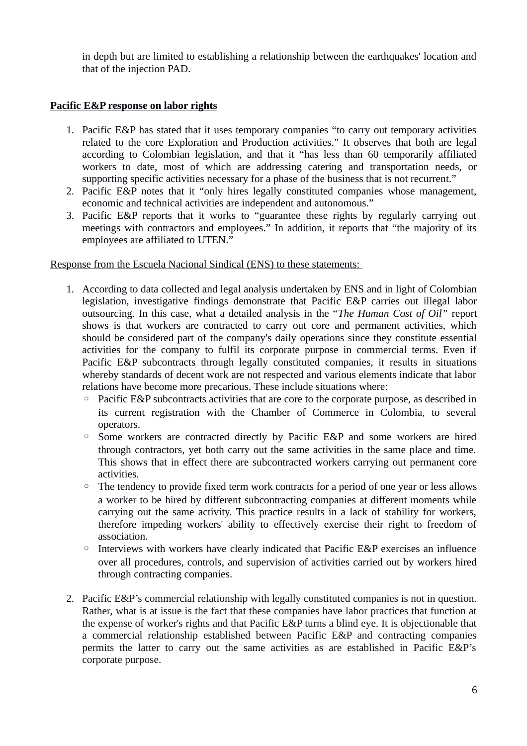in depth but are limited to establishing a relationship between the earthquakes' location and that of the injection PAD.

## **Pacific E&P response on labor rights**

- 1. Pacific E&P has stated that it uses temporary companies "to carry out temporary activities related to the core Exploration and Production activities." It observes that both are legal according to Colombian legislation, and that it "has less than 60 temporarily affiliated workers to date, most of which are addressing catering and transportation needs, or supporting specific activities necessary for a phase of the business that is not recurrent."
- 2. Pacific E&P notes that it "only hires legally constituted companies whose management, economic and technical activities are independent and autonomous."
- 3. Pacific E&P reports that it works to "guarantee these rights by regularly carrying out meetings with contractors and employees." In addition, it reports that "the majority of its employees are affiliated to UTEN."

Response from the Escuela Nacional Sindical (ENS) to these statements:

- 1. According to data collected and legal analysis undertaken by ENS and in light of Colombian legislation, investigative findings demonstrate that Pacific E&P carries out illegal labor outsourcing. In this case, what a detailed analysis in the "*The Human Cost of Oil"* report shows is that workers are contracted to carry out core and permanent activities, which should be considered part of the company's daily operations since they constitute essential activities for the company to fulfil its corporate purpose in commercial terms. Even if Pacific E&P subcontracts through legally constituted companies, it results in situations whereby standards of decent work are not respected and various elements indicate that labor relations have become more precarious. These include situations where:
	- Pacific E&P subcontracts activities that are core to the corporate purpose, as described in its current registration with the Chamber of Commerce in Colombia, to several operators.
	- Some workers are contracted directly by Pacific E&P and some workers are hired through contractors, yet both carry out the same activities in the same place and time. This shows that in effect there are subcontracted workers carrying out permanent core activities.
	- The tendency to provide fixed term work contracts for a period of one year or less allows a worker to be hired by different subcontracting companies at different moments while carrying out the same activity. This practice results in a lack of stability for workers, therefore impeding workers' ability to effectively exercise their right to freedom of association.
	- Interviews with workers have clearly indicated that Pacific E&P exercises an influence over all procedures, controls, and supervision of activities carried out by workers hired through contracting companies.
- 2. Pacific E&P's commercial relationship with legally constituted companies is not in question. Rather, what is at issue is the fact that these companies have labor practices that function at the expense of worker's rights and that Pacific E&P turns a blind eye. It is objectionable that a commercial relationship established between Pacific E&P and contracting companies permits the latter to carry out the same activities as are established in Pacific E&P's corporate purpose.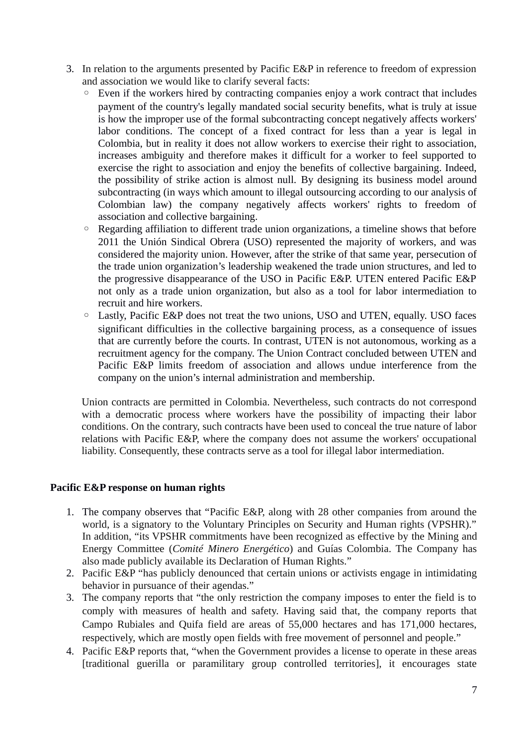- 3. In relation to the arguments presented by Pacific E&P in reference to freedom of expression and association we would like to clarify several facts:
	- Even if the workers hired by contracting companies enjoy a work contract that includes payment of the country's legally mandated social security benefits, what is truly at issue is how the improper use of the formal subcontracting concept negatively affects workers' labor conditions. The concept of a fixed contract for less than a year is legal in Colombia, but in reality it does not allow workers to exercise their right to association, increases ambiguity and therefore makes it difficult for a worker to feel supported to exercise the right to association and enjoy the benefits of collective bargaining. Indeed, the possibility of strike action is almost null. By designing its business model around subcontracting (in ways which amount to illegal outsourcing according to our analysis of Colombian law) the company negatively affects workers' rights to freedom of association and collective bargaining.
	- Regarding affiliation to different trade union organizations, a timeline shows that before 2011 the Unión Sindical Obrera (USO) represented the majority of workers, and was considered the majority union. However, after the strike of that same year, persecution of the trade union organization's leadership weakened the trade union structures, and led to the progressive disappearance of the USO in Pacific E&P. UTEN entered Pacific E&P not only as a trade union organization, but also as a tool for labor intermediation to recruit and hire workers.
	- Lastly, Pacific E&P does not treat the two unions, USO and UTEN, equally. USO faces significant difficulties in the collective bargaining process, as a consequence of issues that are currently before the courts. In contrast, UTEN is not autonomous, working as a recruitment agency for the company. The Union Contract concluded between UTEN and Pacific E&P limits freedom of association and allows undue interference from the company on the union's internal administration and membership.

Union contracts are permitted in Colombia. Nevertheless, such contracts do not correspond with a democratic process where workers have the possibility of impacting their labor conditions. On the contrary, such contracts have been used to conceal the true nature of labor relations with Pacific E&P, where the company does not assume the workers' occupational liability. Consequently, these contracts serve as a tool for illegal labor intermediation.

# **Pacific E&P response on human rights**

- 1. The company observes that "Pacific E&P, along with 28 other companies from around the world, is a signatory to the Voluntary Principles on Security and Human rights (VPSHR)." In addition, "its VPSHR commitments have been recognized as effective by the Mining and Energy Committee (*Comité Minero Energético*) and Guías Colombia. The Company has also made publicly available its Declaration of Human Rights."
- 2. Pacific E&P "has publicly denounced that certain unions or activists engage in intimidating behavior in pursuance of their agendas."
- 3. The company reports that "the only restriction the company imposes to enter the field is to comply with measures of health and safety. Having said that, the company reports that Campo Rubiales and Quifa field are areas of 55,000 hectares and has 171,000 hectares, respectively, which are mostly open fields with free movement of personnel and people."
- 4. Pacific E&P reports that, "when the Government provides a license to operate in these areas [traditional guerilla or paramilitary group controlled territories], it encourages state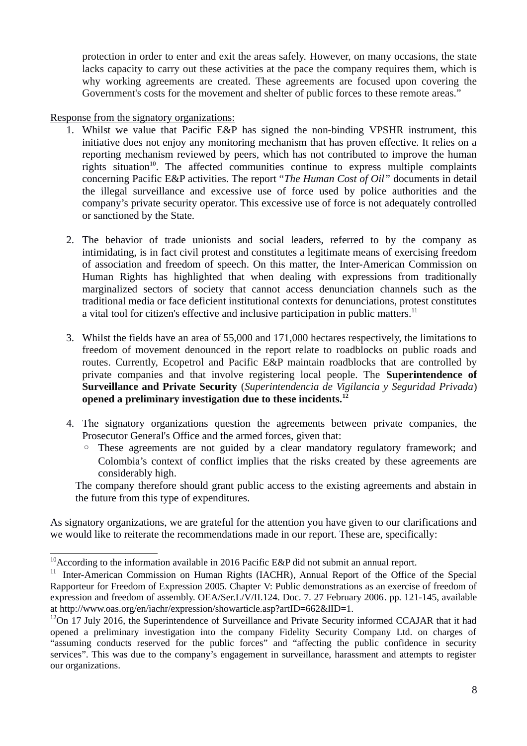protection in order to enter and exit the areas safely. However, on many occasions, the state lacks capacity to carry out these activities at the pace the company requires them, which is why working agreements are created. These agreements are focused upon covering the Government's costs for the movement and shelter of public forces to these remote areas."

### Response from the signatory organizations:

- 1. Whilst we value that Pacific E&P has signed the non-binding VPSHR instrument, this initiative does not enjoy any monitoring mechanism that has proven effective. It relies on a reporting mechanism reviewed by peers, which has not contributed to improve the human rights situation<sup>[10](#page-7-0)</sup>. The affected communities continue to express multiple complaints concerning Pacific E&P activities. The report "*The Human Cost of Oil"* documents in detail the illegal surveillance and excessive use of force used by police authorities and the company's private security operator. This excessive use of force is not adequately controlled or sanctioned by the State.
- 2. The behavior of trade unionists and social leaders, referred to by the company as intimidating, is in fact civil protest and constitutes a legitimate means of exercising freedom of association and freedom of speech. On this matter, the Inter-American Commission on Human Rights has highlighted that when dealing with expressions from traditionally marginalized sectors of society that cannot access denunciation channels such as the traditional media or face deficient institutional contexts for denunciations, protest constitutes a vital tool for citizen's effective and inclusive participation in public matters. $11$
- 3. Whilst the fields have an area of 55,000 and 171,000 hectares respectively, the limitations to freedom of movement denounced in the report relate to roadblocks on public roads and routes. Currently, Ecopetrol and Pacific E&P maintain roadblocks that are controlled by private companies and that involve registering local people. The **Superintendence of Surveillance and Private Security** (*Superintendencia de Vigilancia y Seguridad Privada*) **opened a preliminary investigation due to these incidents.[12](#page-7-2)**
- 4. The signatory organizations question the agreements between private companies, the Prosecutor General's Office and the armed forces, given that:
	- These agreements are not guided by a clear mandatory regulatory framework; and Colombia's context of conflict implies that the risks created by these agreements are considerably high.

The company therefore should grant public access to the existing agreements and abstain in the future from this type of expenditures.

As signatory organizations, we are grateful for the attention you have given to our clarifications and we would like to reiterate the recommendations made in our report. These are, specifically:

<span id="page-7-0"></span> $10$ According to the information available in 2016 Pacific E&P did not submit an annual report.

<span id="page-7-1"></span><sup>&</sup>lt;sup>11</sup> Inter-American Commission on Human Rights (IACHR), Annual Report of the Office of the Special Rapporteur for Freedom of Expression 2005. Chapter V: Public demonstrations as an exercise of freedom of expression and freedom of assembly. OEA/Ser.L/V/II.124. Doc. 7. 27 February 2006. pp. 121-145, available at http://www.oas.org/en/iachr/expression/showarticle.asp?artID=662&lID=1.

<span id="page-7-2"></span> $12$ On 17 July 2016, the Superintendence of Surveillance and Private Security informed CCAJAR that it had opened a preliminary investigation into the company Fidelity Security Company Ltd. on charges of "assuming conducts reserved for the public forces" and "affecting the public confidence in security services". This was due to the company's engagement in surveillance, harassment and attempts to register our organizations.